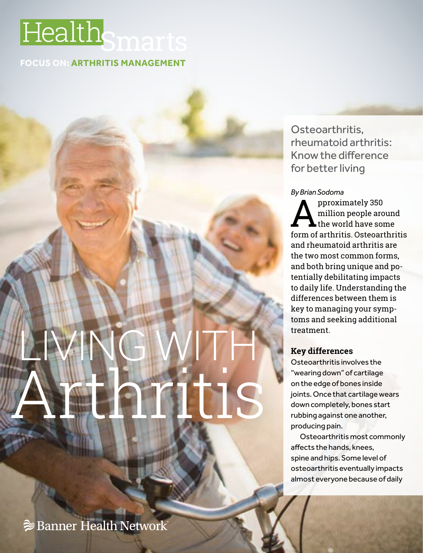## **Smarts**

#### **FOCUS ON: ARTHRITIS MANAGEMENT**

# LIVING WITH Arthritis

Osteoarthritis, rheumatoid arthritis: Know the difference for better living

#### *By Brian Sodoma*

**A**pproximately 350<br>the world have son<br>form of arthritic Osteoard million people around the world have some form of arthritis. Osteoarthritis and rheumatoid arthritis are the two most common forms, and both bring unique and potentially debilitating impacts to daily life. Understanding the differences between them is key to managing your symptoms and seeking additional treatment.

#### **Key differences**

Osteoarthritis involves the "wearing down" of cartilage on the edge of bones inside joints. Once that cartilage wears down completely, bones start rubbing against one another, producing pain.

Osteoarthritis most commonly affects the hands, knees, spine and hips. Some level of osteoarthritis eventually impacts almost everyone because of daily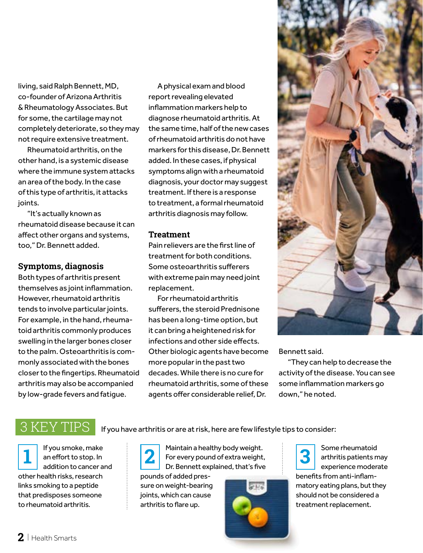living, said Ralph Bennett, MD, co-founder of Arizona Arthritis & Rheumatology Associates. But for some, the cartilage may not completely deteriorate, so they may not require extensive treatment.

Rheumatoid arthritis, on the other hand, is a systemic disease where the immune system attacks an area of the body. In the case of this type of arthritis, it attacks joints.

"It's actually known as rheumatoid disease because it can affect other organs and systems, too," Dr. Bennett added.

#### **Symptoms, diagnosis**

Both types of arthritis present themselves as joint inflammation. However, rheumatoid arthritis tends to involve particular joints. For example, in the hand, rheumatoid arthritis commonly produces swelling in the larger bones closer to the palm. Osteoarthritis is commonly associated with the bones closer to the fingertips. Rheumatoid arthritis may also be accompanied by low-grade fevers and fatigue.

A physical exam and blood report revealing elevated inflammation markers help to diagnose rheumatoid arthritis. At the same time, half of the new cases of rheumatoid arthritis do not have markers for this disease, Dr. Bennett added. In these cases, if physical symptoms align with a rheumatoid diagnosis, your doctor may suggest treatment. If there is a response to treatment, a formal rheumatoid arthritis diagnosis may follow.

#### **Treatment**

Pain relievers are the first line of treatment for both conditions. Some osteoarthritis sufferers with extreme pain may need joint replacement.

For rheumatoid arthritis sufferers, the steroid Prednisone has been a long-time option, but it can bring a heightened risk for infections and other side effects. Other biologic agents have become more popular in the past two decades. While there is no cure for rheumatoid arthritis, some of these agents offer considerable relief, Dr.



#### Bennett said.

"They can help to decrease the activity of the disease. You can see some inflammation markers go down," he noted.

### $3\,\mathrm{KEY}$   $\mathrm{TPS}$  If you have arthritis or are at risk, here are few lifestyle tips to consider:

If you smoke, make an effort to stop. In addition to cancer and other health risks, research links smoking to a peptide that predisposes someone to rheumatoid arthritis.



**1 2** Maintain a healthy body weight. For every pound of extra weight, Dr. Bennett explained, that's five

pounds of added pressure on weight-bearing joints, which can cause arthritis to flare up.



**3** Some rheumatoid<br>
arthritis patients n<br>
experience moder arthritis patients may experience moderate benefits from anti-inflammatory eating plans, but they should not be considered a treatment replacement.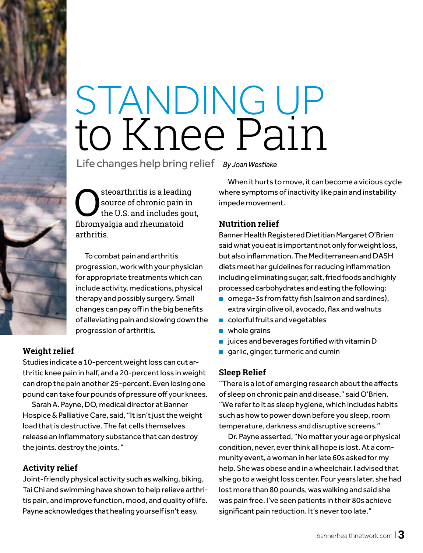# STANDING UP to Knee Pain

Life changes help bring relief *By Joan Westlake*

Steoarthritis is a leading<br>source of chronic pain in<br>the U.S. and includes gou source of chronic pain in the U.S. and includes gout, fibromyalgia and rheumatoid arthritis.

To combat pain and arthritis progression, work with your physician for appropriate treatments which can include activity, medications, physical therapy and possibly surgery. Small changes can pay off in the big benefits of alleviating pain and slowing down the progression of arthritis.

#### **Weight relief**

Studies indicate a 10-percent weight loss can cut arthritic knee pain in half, and a 20-percent loss in weight can drop the pain another 25-percent. Even losing one pound can take four pounds of pressure off your knees.

Sarah A. Payne, DO, medical director at Banner Hospice & Palliative Care, said, "It isn't just the weight load that is destructive. The fat cells themselves release an inflammatory substance that can destroy the joints. destroy the joints. "

#### **Activity relief**

Joint-friendly physical activity such as walking, biking, Tai Chi and swimming have shown to help relieve arthritis pain, and improve function, mood, and quality of life. Payne acknowledges that healing yourself isn't easy.

When it hurts to move, it can become a vicious cycle where symptoms of inactivity like pain and instability impede movement.

#### **Nutrition relief**

Banner Health Registered Dietitian Margaret O'Brien said what you eat is important not only for weight loss, but also inflammation. The Mediterranean and DASH diets meet her guidelines for reducing inflammation including eliminating sugar, salt, fried foods and highly processed carbohydrates and eating the following:

- omega-3s from fatty fish (salmon and sardines), extra virgin olive oil, avocado, flax and walnuts
- colorful fruits and vegetables
- whole grains
- juices and beverages fortified with vitamin D
- garlic, ginger, turmeric and cumin

#### **Sleep Relief**

"There is a lot of emerging research about the affects of sleep on chronic pain and disease," said O'Brien. "We refer to it as sleep hygiene, which includes habits such as how to power down before you sleep, room temperature, darkness and disruptive screens."

Dr. Payne asserted, "No matter your age or physical condition, never, ever think all hope is lost. At a community event, a woman in her late 60s asked for my help. She was obese and in a wheelchair. I advised that she go to a weight loss center. Four years later, she had lost more than 80 pounds, was walking and said she was pain free. I've seen patients in their 80s achieve significant pain reduction. It's never too late."